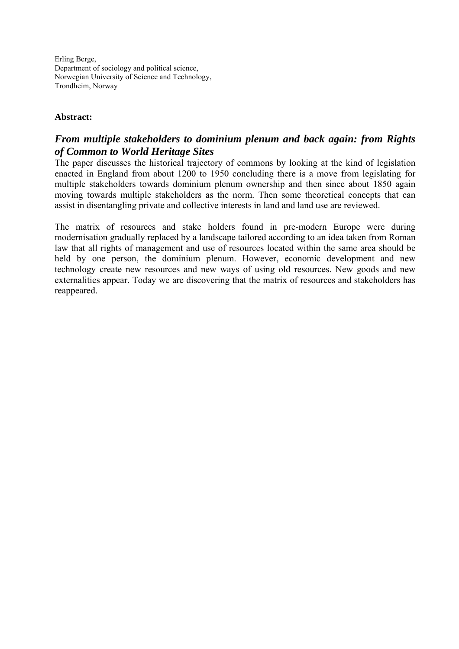Erling Berge, Department of sociology and political science, Norwegian University of Science and Technology, Trondheim, Norway

#### **Abstract:**

## *From multiple stakeholders to dominium plenum and back again: from Rights of Common to World Heritage Sites*

The paper discusses the historical trajectory of commons by looking at the kind of legislation enacted in England from about 1200 to 1950 concluding there is a move from legislating for multiple stakeholders towards dominium plenum ownership and then since about 1850 again moving towards multiple stakeholders as the norm. Then some theoretical concepts that can assist in disentangling private and collective interests in land and land use are reviewed.

The matrix of resources and stake holders found in pre-modern Europe were during modernisation gradually replaced by a landscape tailored according to an idea taken from Roman law that all rights of management and use of resources located within the same area should be held by one person, the dominium plenum. However, economic development and new technology create new resources and new ways of using old resources. New goods and new externalities appear. Today we are discovering that the matrix of resources and stakeholders has reappeared.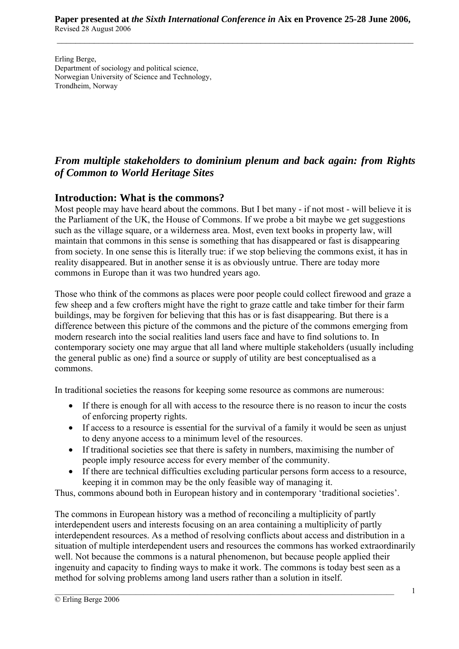Erling Berge, Department of sociology and political science, Norwegian University of Science and Technology, Trondheim, Norway

# *From multiple stakeholders to dominium plenum and back again: from Rights of Common to World Heritage Sites*

# **Introduction: What is the commons?**

Most people may have heard about the commons. But I bet many - if not most - will believe it is the Parliament of the UK, the House of Commons. If we probe a bit maybe we get suggestions such as the village square, or a wilderness area. Most, even text books in property law, will maintain that commons in this sense is something that has disappeared or fast is disappearing from society. In one sense this is literally true: if we stop believing the commons exist, it has in reality disappeared. But in another sense it is as obviously untrue. There are today more commons in Europe than it was two hundred years ago.

Those who think of the commons as places were poor people could collect firewood and graze a few sheep and a few crofters might have the right to graze cattle and take timber for their farm buildings, may be forgiven for believing that this has or is fast disappearing. But there is a difference between this picture of the commons and the picture of the commons emerging from modern research into the social realities land users face and have to find solutions to. In contemporary society one may argue that all land where multiple stakeholders (usually including the general public as one) find a source or supply of utility are best conceptualised as a commons.

In traditional societies the reasons for keeping some resource as commons are numerous:

- If there is enough for all with access to the resource there is no reason to incur the costs of enforcing property rights.
- If access to a resource is essential for the survival of a family it would be seen as unjust to deny anyone access to a minimum level of the resources.
- If traditional societies see that there is safety in numbers, maximising the number of people imply resource access for every member of the community.
- If there are technical difficulties excluding particular persons form access to a resource, keeping it in common may be the only feasible way of managing it.

Thus, commons abound both in European history and in contemporary 'traditional societies'.

The commons in European history was a method of reconciling a multiplicity of partly interdependent users and interests focusing on an area containing a multiplicity of partly interdependent resources. As a method of resolving conflicts about access and distribution in a situation of multiple interdependent users and resources the commons has worked extraordinarily well. Not because the commons is a natural phenomenon, but because people applied their ingenuity and capacity to finding ways to make it work. The commons is today best seen as a method for solving problems among land users rather than a solution in itself.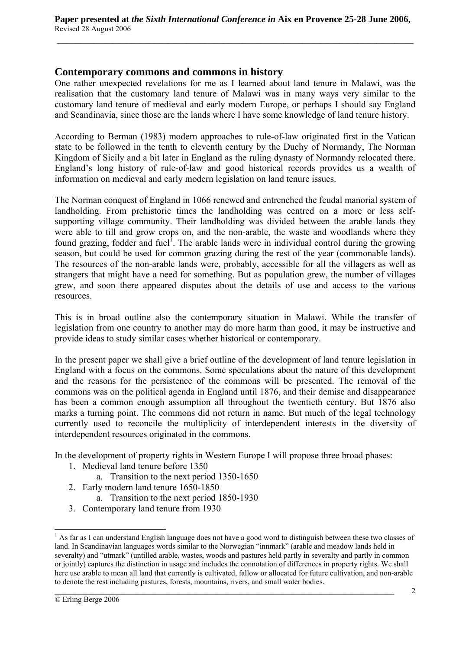#### **Contemporary commons and commons in history**

One rather unexpected revelations for me as I learned about land tenure in Malawi, was the realisation that the customary land tenure of Malawi was in many ways very similar to the customary land tenure of medieval and early modern Europe, or perhaps I should say England and Scandinavia, since those are the lands where I have some knowledge of land tenure history.

According to Berman (1983) modern approaches to rule-of-law originated first in the Vatican state to be followed in the tenth to eleventh century by the Duchy of Normandy, The Norman Kingdom of Sicily and a bit later in England as the ruling dynasty of Normandy relocated there. England's long history of rule-of-law and good historical records provides us a wealth of information on medieval and early modern legislation on land tenure issues.

The Norman conquest of England in 1066 renewed and entrenched the feudal manorial system of landholding. From prehistoric times the landholding was centred on a more or less selfsupporting village community. Their landholding was divided between the arable lands they were able to till and grow crops on, and the non-arable, the waste and woodlands where they found grazing, fodder and fuel<sup>1</sup>. The arable lands were in individual control during the growing season, but could be used for common grazing during the rest of the year (commonable lands). The resources of the non-arable lands were, probably, accessible for all the villagers as well as strangers that might have a need for something. But as population grew, the number of villages grew, and soon there appeared disputes about the details of use and access to the various resources.

This is in broad outline also the contemporary situation in Malawi. While the transfer of legislation from one country to another may do more harm than good, it may be instructive and provide ideas to study similar cases whether historical or contemporary.

In the present paper we shall give a brief outline of the development of land tenure legislation in England with a focus on the commons. Some speculations about the nature of this development and the reasons for the persistence of the commons will be presented. The removal of the commons was on the political agenda in England until 1876, and their demise and disappearance has been a common enough assumption all throughout the twentieth century. But 1876 also marks a turning point. The commons did not return in name. But much of the legal technology currently used to reconcile the multiplicity of interdependent interests in the diversity of interdependent resources originated in the commons.

In the development of property rights in Western Europe I will propose three broad phases:

- 1. Medieval land tenure before 1350
	- a. Transition to the next period 1350-1650
- 2. Early modern land tenure 1650-1850
	- a. Transition to the next period 1850-1930
- 3. Contemporary land tenure from 1930

<sup>&</sup>lt;sup>1</sup> As far as I can understand English language does not have a good word to distinguish between these two classes of land. In Scandinavian languages words similar to the Norwegian "innmark" (arable and meadow lands held in severalty) and "utmark" (untilled arable, wastes, woods and pastures held partly in severalty and partly in common or jointly) captures the distinction in usage and includes the connotation of differences in property rights. We shall here use arable to mean all land that currently is cultivated, fallow or allocated for future cultivation, and non-arable to denote the rest including pastures, forests, mountains, rivers, and small water bodies.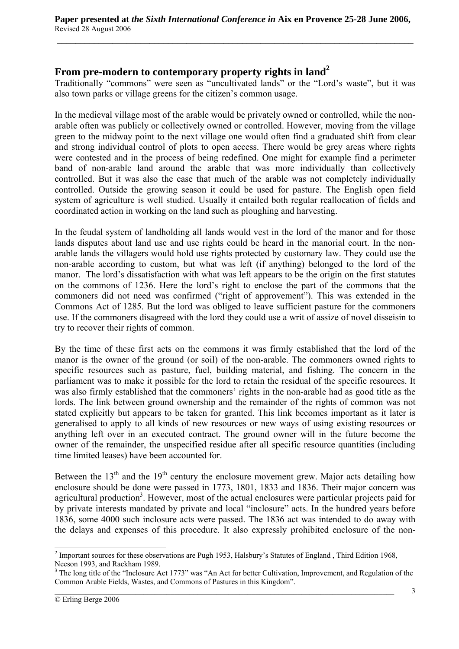#### **From pre-modern to contemporary property rights in land<sup>2</sup>**

Traditionally "commons" were seen as "uncultivated lands" or the "Lord's waste", but it was also town parks or village greens for the citizen's common usage.

In the medieval village most of the arable would be privately owned or controlled, while the nonarable often was publicly or collectively owned or controlled. However, moving from the village green to the midway point to the next village one would often find a graduated shift from clear and strong individual control of plots to open access. There would be grey areas where rights were contested and in the process of being redefined. One might for example find a perimeter band of non-arable land around the arable that was more individually than collectively controlled. But it was also the case that much of the arable was not completely individually controlled. Outside the growing season it could be used for pasture. The English open field system of agriculture is well studied. Usually it entailed both regular reallocation of fields and coordinated action in working on the land such as ploughing and harvesting.

In the feudal system of landholding all lands would vest in the lord of the manor and for those lands disputes about land use and use rights could be heard in the manorial court. In the nonarable lands the villagers would hold use rights protected by customary law. They could use the non-arable according to custom, but what was left (if anything) belonged to the lord of the manor. The lord's dissatisfaction with what was left appears to be the origin on the first statutes on the commons of 1236. Here the lord's right to enclose the part of the commons that the commoners did not need was confirmed ("right of approvement"). This was extended in the Commons Act of 1285. But the lord was obliged to leave sufficient pasture for the commoners use. If the commoners disagreed with the lord they could use a writ of assize of novel disseisin to try to recover their rights of common.

By the time of these first acts on the commons it was firmly established that the lord of the manor is the owner of the ground (or soil) of the non-arable. The commoners owned rights to specific resources such as pasture, fuel, building material, and fishing. The concern in the parliament was to make it possible for the lord to retain the residual of the specific resources. It was also firmly established that the commoners' rights in the non-arable had as good title as the lords. The link between ground ownership and the remainder of the rights of common was not stated explicitly but appears to be taken for granted. This link becomes important as it later is generalised to apply to all kinds of new resources or new ways of using existing resources or anything left over in an executed contract. The ground owner will in the future become the owner of the remainder, the unspecified residue after all specific resource quantities (including time limited leases) have been accounted for.

Between the  $13<sup>th</sup>$  and the  $19<sup>th</sup>$  century the enclosure movement grew. Major acts detailing how enclosure should be done were passed in 1773, 1801, 1833 and 1836. Their major concern was agricultural production<sup>3</sup>. However, most of the actual enclosures were particular projects paid for by private interests mandated by private and local "inclosure" acts. In the hundred years before 1836, some 4000 such inclosure acts were passed. The 1836 act was intended to do away with the delays and expenses of this procedure. It also expressly prohibited enclosure of the non-

<sup>&</sup>lt;sup>2</sup> Important sources for these observations are Pugh 1953, Halsbury's Statutes of England, Third Edition 1968, Neeson 1993, and Rackham 1989.

 $3$  The long title of the "Inclosure Act 1773" was "An Act for better Cultivation, Improvement, and Regulation of the Common Arable Fields, Wastes, and Commons of Pastures in this Kingdom".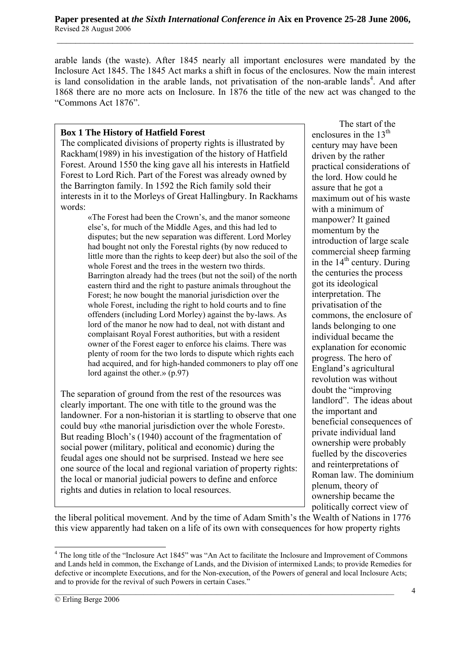arable lands (the waste). After 1845 nearly all important enclosures were mandated by the Inclosure Act 1845. The 1845 Act marks a shift in focus of the enclosures. Now the main interest is land consolidation in the arable lands, not privatisation of the non-arable lands<sup>4</sup>. And after 1868 there are no more acts on Inclosure. In 1876 the title of the new act was changed to the "Commons Act 1876".

#### **Box 1 The History of Hatfield Forest**

The complicated divisions of property rights is illustrated by Rackham(1989) in his investigation of the history of Hatfield Forest. Around 1550 the king gave all his interests in Hatfield Forest to Lord Rich. Part of the Forest was already owned by the Barrington family. In 1592 the Rich family sold their interests in it to the Morleys of Great Hallingbury. In Rackhams words:

> «The Forest had been the Crown's, and the manor someone else's, for much of the Middle Ages, and this had led to disputes; but the new separation was different. Lord Morley had bought not only the Forestal rights (by now reduced to little more than the rights to keep deer) but also the soil of the whole Forest and the trees in the western two thirds. Barrington already had the trees (but not the soil) of the north eastern third and the right to pasture animals throughout the Forest; he now bought the manorial jurisdiction over the whole Forest, including the right to hold courts and to fine offenders (including Lord Morley) against the by-laws. As lord of the manor he now had to deal, not with distant and complaisant Royal Forest authorities, but with a resident owner of the Forest eager to enforce his claims. There was plenty of room for the two lords to dispute which rights each had acquired, and for high-handed commoners to play off one lord against the other.» (p.97)

The separation of ground from the rest of the resources was clearly important. The one with title to the ground was the landowner. For a non-historian it is startling to observe that one could buy «the manorial jurisdiction over the whole Forest». But reading Bloch's (1940) account of the fragmentation of social power (military, political and economic) during the feudal ages one should not be surprised. Instead we here see one source of the local and regional variation of property rights: the local or manorial judicial powers to define and enforce rights and duties in relation to local resources.

The start of the enclosures in the  $13<sup>th</sup>$ century may have been driven by the rather practical considerations of the lord. How could he assure that he got a maximum out of his waste with a minimum of manpower? It gained momentum by the introduction of large scale commercial sheep farming in the  $14<sup>th</sup>$  century. During the centuries the process got its ideological interpretation. The privatisation of the commons, the enclosure of lands belonging to one individual became the explanation for economic progress. The hero of England's agricultural revolution was without doubt the "improving landlord". The ideas about the important and beneficial consequences of private individual land ownership were probably fuelled by the discoveries and reinterpretations of Roman law. The dominium plenum, theory of ownership became the politically correct view of

the liberal political movement. And by the time of Adam Smith's the Wealth of Nations in 1776 this view apparently had taken on a life of its own with consequences for how property rights

 $\mathcal{L}_\mathcal{L} = \{ \mathcal{L}_\mathcal{L} = \{ \mathcal{L}_\mathcal{L} = \{ \mathcal{L}_\mathcal{L} = \{ \mathcal{L}_\mathcal{L} = \{ \mathcal{L}_\mathcal{L} = \{ \mathcal{L}_\mathcal{L} = \{ \mathcal{L}_\mathcal{L} = \{ \mathcal{L}_\mathcal{L} = \{ \mathcal{L}_\mathcal{L} = \{ \mathcal{L}_\mathcal{L} = \{ \mathcal{L}_\mathcal{L} = \{ \mathcal{L}_\mathcal{L} = \{ \mathcal{L}_\mathcal{L} = \{ \mathcal{L}_\mathcal{$ 

<sup>&</sup>lt;sup>4</sup> The long title of the "Inclosure Act 1845" was "An Act to facilitate the Inclosure and Improvement of Commons and Lands held in common, the Exchange of Lands, and the Division of intermixed Lands; to provide Remedies for defective or incomplete Executions, and for the Non-execution, of the Powers of general and local Inclosure Acts; and to provide for the revival of such Powers in certain Cases."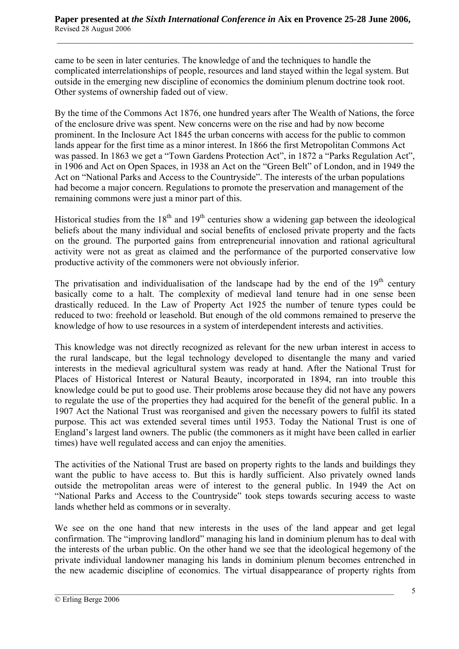came to be seen in later centuries. The knowledge of and the techniques to handle the complicated interrelationships of people, resources and land stayed within the legal system. But outside in the emerging new discipline of economics the dominium plenum doctrine took root. Other systems of ownership faded out of view.

By the time of the Commons Act 1876, one hundred years after The Wealth of Nations, the force of the enclosure drive was spent. New concerns were on the rise and had by now become prominent. In the Inclosure Act 1845 the urban concerns with access for the public to common lands appear for the first time as a minor interest. In 1866 the first Metropolitan Commons Act was passed. In 1863 we get a "Town Gardens Protection Act", in 1872 a "Parks Regulation Act", in 1906 and Act on Open Spaces, in 1938 an Act on the "Green Belt" of London, and in 1949 the Act on "National Parks and Access to the Countryside". The interests of the urban populations had become a major concern. Regulations to promote the preservation and management of the remaining commons were just a minor part of this.

Historical studies from the  $18<sup>th</sup>$  and  $19<sup>th</sup>$  centuries show a widening gap between the ideological beliefs about the many individual and social benefits of enclosed private property and the facts on the ground. The purported gains from entrepreneurial innovation and rational agricultural activity were not as great as claimed and the performance of the purported conservative low productive activity of the commoners were not obviously inferior.

The privatisation and individualisation of the landscape had by the end of the  $19<sup>th</sup>$  century basically come to a halt. The complexity of medieval land tenure had in one sense been drastically reduced. In the Law of Property Act 1925 the number of tenure types could be reduced to two: freehold or leasehold. But enough of the old commons remained to preserve the knowledge of how to use resources in a system of interdependent interests and activities.

This knowledge was not directly recognized as relevant for the new urban interest in access to the rural landscape, but the legal technology developed to disentangle the many and varied interests in the medieval agricultural system was ready at hand. After the National Trust for Places of Historical Interest or Natural Beauty, incorporated in 1894, ran into trouble this knowledge could be put to good use. Their problems arose because they did not have any powers to regulate the use of the properties they had acquired for the benefit of the general public. In a 1907 Act the National Trust was reorganised and given the necessary powers to fulfil its stated purpose. This act was extended several times until 1953. Today the National Trust is one of England's largest land owners. The public (the commoners as it might have been called in earlier times) have well regulated access and can enjoy the amenities.

The activities of the National Trust are based on property rights to the lands and buildings they want the public to have access to. But this is hardly sufficient. Also privately owned lands outside the metropolitan areas were of interest to the general public. In 1949 the Act on "National Parks and Access to the Countryside" took steps towards securing access to waste lands whether held as commons or in severalty.

We see on the one hand that new interests in the uses of the land appear and get legal confirmation. The "improving landlord" managing his land in dominium plenum has to deal with the interests of the urban public. On the other hand we see that the ideological hegemony of the private individual landowner managing his lands in dominium plenum becomes entrenched in the new academic discipline of economics. The virtual disappearance of property rights from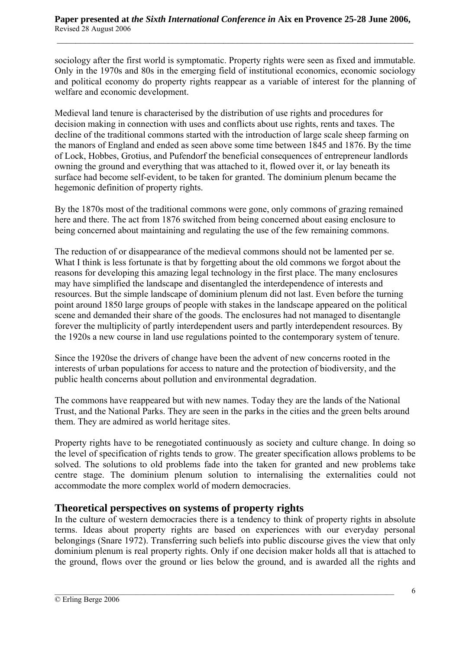sociology after the first world is symptomatic. Property rights were seen as fixed and immutable. Only in the 1970s and 80s in the emerging field of institutional economics, economic sociology and political economy do property rights reappear as a variable of interest for the planning of welfare and economic development.

Medieval land tenure is characterised by the distribution of use rights and procedures for decision making in connection with uses and conflicts about use rights, rents and taxes. The decline of the traditional commons started with the introduction of large scale sheep farming on the manors of England and ended as seen above some time between 1845 and 1876. By the time of Lock, Hobbes, Grotius, and Pufendorf the beneficial consequences of entrepreneur landlords owning the ground and everything that was attached to it, flowed over it, or lay beneath its surface had become self-evident, to be taken for granted. The dominium plenum became the hegemonic definition of property rights.

By the 1870s most of the traditional commons were gone, only commons of grazing remained here and there. The act from 1876 switched from being concerned about easing enclosure to being concerned about maintaining and regulating the use of the few remaining commons.

The reduction of or disappearance of the medieval commons should not be lamented per se. What I think is less fortunate is that by forgetting about the old commons we forgot about the reasons for developing this amazing legal technology in the first place. The many enclosures may have simplified the landscape and disentangled the interdependence of interests and resources. But the simple landscape of dominium plenum did not last. Even before the turning point around 1850 large groups of people with stakes in the landscape appeared on the political scene and demanded their share of the goods. The enclosures had not managed to disentangle forever the multiplicity of partly interdependent users and partly interdependent resources. By the 1920s a new course in land use regulations pointed to the contemporary system of tenure.

Since the 1920se the drivers of change have been the advent of new concerns rooted in the interests of urban populations for access to nature and the protection of biodiversity, and the public health concerns about pollution and environmental degradation.

The commons have reappeared but with new names. Today they are the lands of the National Trust, and the National Parks. They are seen in the parks in the cities and the green belts around them. They are admired as world heritage sites.

Property rights have to be renegotiated continuously as society and culture change. In doing so the level of specification of rights tends to grow. The greater specification allows problems to be solved. The solutions to old problems fade into the taken for granted and new problems take centre stage. The dominium plenum solution to internalising the externalities could not accommodate the more complex world of modern democracies.

# **Theoretical perspectives on systems of property rights**

In the culture of western democracies there is a tendency to think of property rights in absolute terms. Ideas about property rights are based on experiences with our everyday personal belongings (Snare 1972). Transferring such beliefs into public discourse gives the view that only dominium plenum is real property rights. Only if one decision maker holds all that is attached to the ground, flows over the ground or lies below the ground, and is awarded all the rights and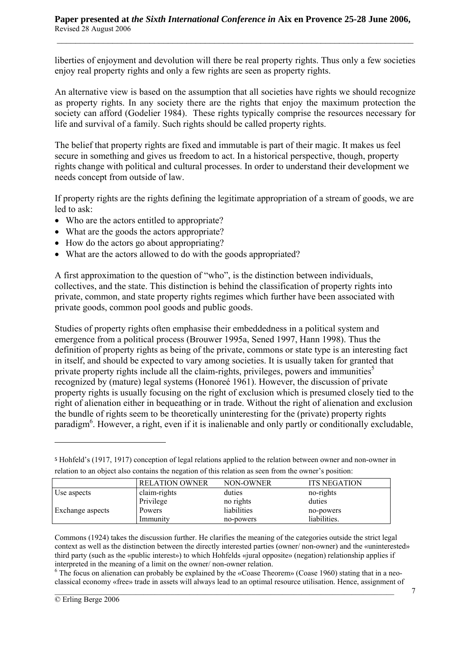liberties of enjoyment and devolution will there be real property rights. Thus only a few societies enjoy real property rights and only a few rights are seen as property rights.

An alternative view is based on the assumption that all societies have rights we should recognize as property rights. In any society there are the rights that enjoy the maximum protection the society can afford (Godelier 1984). These rights typically comprise the resources necessary for life and survival of a family. Such rights should be called property rights.

The belief that property rights are fixed and immutable is part of their magic. It makes us feel secure in something and gives us freedom to act. In a historical perspective, though, property rights change with political and cultural processes. In order to understand their development we needs concept from outside of law.

If property rights are the rights defining the legitimate appropriation of a stream of goods, we are led to ask:

- Who are the actors entitled to appropriate?
- What are the goods the actors appropriate?
- How do the actors go about appropriating?
- What are the actors allowed to do with the goods appropriated?

A first approximation to the question of "who", is the distinction between individuals, collectives, and the state. This distinction is behind the classification of property rights into private, common, and state property rights regimes which further have been associated with private goods, common pool goods and public goods.

Studies of property rights often emphasise their embeddedness in a political system and emergence from a political process (Brouwer 1995a, Sened 1997, Hann 1998). Thus the definition of property rights as being of the private, commons or state type is an interesting fact in itself, and should be expected to vary among societies. It is usually taken for granted that private property rights include all the claim-rights, privileges, powers and immunities<sup>5</sup> recognized by (mature) legal systems (Honoreé 1961). However, the discussion of private property rights is usually focusing on the right of exclusion which is presumed closely tied to the right of alienation either in bequeathing or in trade. Without the right of alienation and exclusion the bundle of rights seem to be theoretically uninteresting for the (private) property rights paradigm<sup>6</sup>. However, a right, even if it is inalienable and only partly or conditionally excludable,

Immunity no-powers liabilities.

 $6$  The focus on alienation can probably be explained by the «Coase Theorem» (Coase 1960) stating that in a neoclassical economy «free» trade in assets will always lead to an optimal resource utilisation. Hence, assignment of

 $\mathcal{L}_\mathcal{L} = \{ \mathcal{L}_\mathcal{L} = \{ \mathcal{L}_\mathcal{L} = \{ \mathcal{L}_\mathcal{L} = \{ \mathcal{L}_\mathcal{L} = \{ \mathcal{L}_\mathcal{L} = \{ \mathcal{L}_\mathcal{L} = \{ \mathcal{L}_\mathcal{L} = \{ \mathcal{L}_\mathcal{L} = \{ \mathcal{L}_\mathcal{L} = \{ \mathcal{L}_\mathcal{L} = \{ \mathcal{L}_\mathcal{L} = \{ \mathcal{L}_\mathcal{L} = \{ \mathcal{L}_\mathcal{L} = \{ \mathcal{L}_\mathcal{$ 

RELATION OWNER NON-OWNER ITS NEGATION Use aspects claim-rights duties no-rights no-rights Privilege no rights duties Exchange aspects Powers liabilities no-powers

**<sup>5</sup>** Hohfeld's (1917, 1917) conception of legal relations applied to the relation between owner and non-owner in relation to an object also contains the negation of this relation as seen from the owner's position:

Commons (1924) takes the discussion further. He clarifies the meaning of the categories outside the strict legal context as well as the distinction between the directly interested parties (owner/ non-owner) and the «uninterested» third party (such as the «public interest») to which Hohfelds «jural opposite» (negation) relationship applies if interpreted in the meaning of a limit on the owner/ non-owner relation.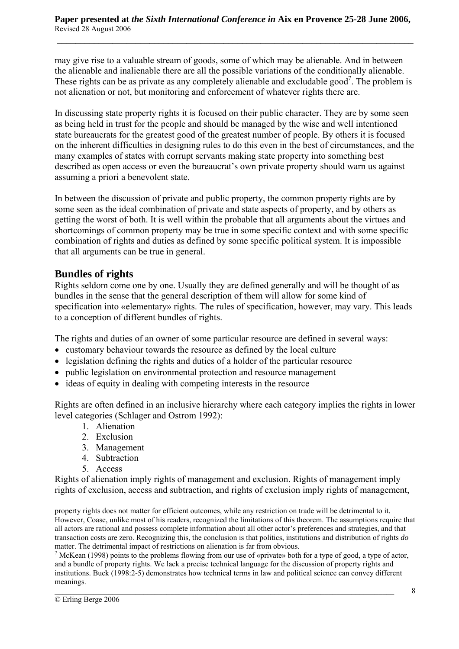may give rise to a valuable stream of goods, some of which may be alienable. And in between the alienable and inalienable there are all the possible variations of the conditionally alienable. These rights can be as private as any completely alienable and excludable good<sup>7</sup>. The problem is not alienation or not, but monitoring and enforcement of whatever rights there are.

In discussing state property rights it is focused on their public character. They are by some seen as being held in trust for the people and should be managed by the wise and well intentioned state bureaucrats for the greatest good of the greatest number of people. By others it is focused on the inherent difficulties in designing rules to do this even in the best of circumstances, and the many examples of states with corrupt servants making state property into something best described as open access or even the bureaucrat's own private property should warn us against assuming a priori a benevolent state.

In between the discussion of private and public property, the common property rights are by some seen as the ideal combination of private and state aspects of property, and by others as getting the worst of both. It is well within the probable that all arguments about the virtues and shortcomings of common property may be true in some specific context and with some specific combination of rights and duties as defined by some specific political system. It is impossible that all arguments can be true in general.

## **Bundles of rights**

Rights seldom come one by one. Usually they are defined generally and will be thought of as bundles in the sense that the general description of them will allow for some kind of specification into «elementary» rights. The rules of specification, however, may vary. This leads to a conception of different bundles of rights.

The rights and duties of an owner of some particular resource are defined in several ways:

- customary behaviour towards the resource as defined by the local culture
- legislation defining the rights and duties of a holder of the particular resource
- public legislation on environmental protection and resource management
- ideas of equity in dealing with competing interests in the resource

Rights are often defined in an inclusive hierarchy where each category implies the rights in lower level categories (Schlager and Ostrom 1992):

- 1. Alienation
- 2. Exclusion
- 3. Management
- 4. Subtraction
- 5. Access

Rights of alienation imply rights of management and exclusion. Rights of management imply rights of exclusion, access and subtraction, and rights of exclusion imply rights of management,

<sup>7</sup> McKean (1998) points to the problems flowing from our use of «private» both for a type of good, a type of actor, and a bundle of property rights. We lack a precise technical language for the discussion of property rights and institutions. Buck (1998:2-5) demonstrates how technical terms in law and political science can convey different meanings.

 $\overline{a}$ property rights does not matter for efficient outcomes, while any restriction on trade will be detrimental to it. However, Coase, unlike most of his readers, recognized the limitations of this theorem. The assumptions require that all actors are rational and possess complete information about all other actor's preferences and strategies, and that transaction costs are zero. Recognizing this, the conclusion is that politics, institutions and distribution of rights *do* matter. The detrimental impact of restrictions on alienation is far from obvious.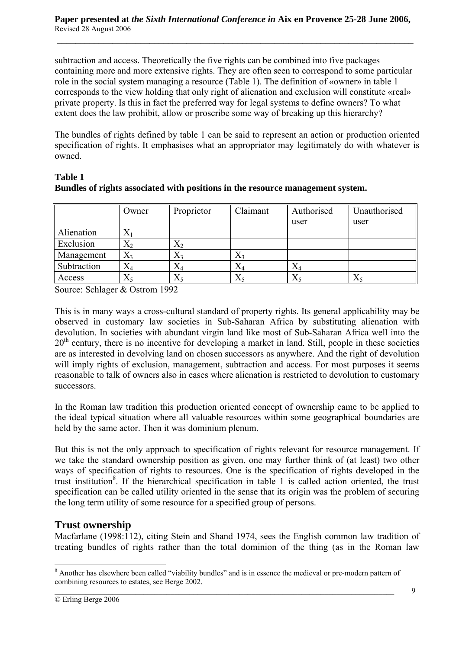subtraction and access. Theoretically the five rights can be combined into five packages containing more and more extensive rights. They are often seen to correspond to some particular role in the social system managing a resource (Table 1). The definition of «owner» in table 1 corresponds to the view holding that only right of alienation and exclusion will constitute «real» private property. Is this in fact the preferred way for legal systems to define owners? To what extent does the law prohibit, allow or proscribe some way of breaking up this hierarchy?

The bundles of rights defined by table 1 can be said to represent an action or production oriented specification of rights. It emphasises what an appropriator may legitimately do with whatever is owned.

| <b>Table 1</b> |                                                                                |
|----------------|--------------------------------------------------------------------------------|
|                | Bundles of rights associated with positions in the resource management system. |

|             | Owner       | Proprietor  | Claimant  | Authorised | Unauthorised |
|-------------|-------------|-------------|-----------|------------|--------------|
|             |             |             |           | user       | user         |
| Alienation  | A           |             |           |            |              |
| Exclusion   | $X_2$       | $X_2$       |           |            |              |
| Management  | $X_3$       | $X_3$       | $X_3$     |            |              |
| Subtraction | $\Lambda$ 4 | Ä4          | $\rm X_4$ | $\rm X_4$  |              |
| Access      | Λs          | $\Lambda$ 5 | $X_5$     | $X_5$      | $X_5$        |

Source: Schlager & Ostrom 1992

This is in many ways a cross-cultural standard of property rights. Its general applicability may be observed in customary law societies in Sub-Saharan Africa by substituting alienation with devolution. In societies with abundant virgin land like most of Sub-Saharan Africa well into the  $20<sup>th</sup>$  century, there is no incentive for developing a market in land. Still, people in these societies are as interested in devolving land on chosen successors as anywhere. And the right of devolution will imply rights of exclusion, management, subtraction and access. For most purposes it seems reasonable to talk of owners also in cases where alienation is restricted to devolution to customary successors.

In the Roman law tradition this production oriented concept of ownership came to be applied to the ideal typical situation where all valuable resources within some geographical boundaries are held by the same actor. Then it was dominium plenum.

But this is not the only approach to specification of rights relevant for resource management. If we take the standard ownership position as given, one may further think of (at least) two other ways of specification of rights to resources. One is the specification of rights developed in the trust institution<sup>8</sup>. If the hierarchical specification in table 1 is called action oriented, the trust specification can be called utility oriented in the sense that its origin was the problem of securing the long term utility of some resource for a specified group of persons.

#### **Trust ownership**

Macfarlane (1998:112), citing Stein and Shand 1974, sees the English common law tradition of treating bundles of rights rather than the total dominion of the thing (as in the Roman law

 $\mathcal{L}_\mathcal{L} = \{ \mathcal{L}_\mathcal{L} = \{ \mathcal{L}_\mathcal{L} = \{ \mathcal{L}_\mathcal{L} = \{ \mathcal{L}_\mathcal{L} = \{ \mathcal{L}_\mathcal{L} = \{ \mathcal{L}_\mathcal{L} = \{ \mathcal{L}_\mathcal{L} = \{ \mathcal{L}_\mathcal{L} = \{ \mathcal{L}_\mathcal{L} = \{ \mathcal{L}_\mathcal{L} = \{ \mathcal{L}_\mathcal{L} = \{ \mathcal{L}_\mathcal{L} = \{ \mathcal{L}_\mathcal{L} = \{ \mathcal{L}_\mathcal{$ <sup>8</sup> Another has elsewhere been called "viability bundles" and is in essence the medieval or pre-modern pattern of combining resources to estates, see Berge 2002.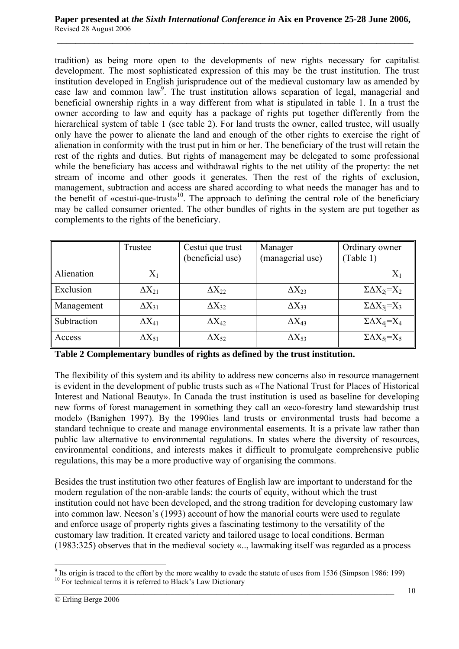tradition) as being more open to the developments of new rights necessary for capitalist development. The most sophisticated expression of this may be the trust institution. The trust institution developed in English jurisprudence out of the medieval customary law as amended by case law and common law<sup>9</sup>. The trust institution allows separation of legal, managerial and beneficial ownership rights in a way different from what is stipulated in table 1. In a trust the owner according to law and equity has a package of rights put together differently from the hierarchical system of table 1 (see table 2). For land trusts the owner, called trustee, will usually only have the power to alienate the land and enough of the other rights to exercise the right of alienation in conformity with the trust put in him or her. The beneficiary of the trust will retain the rest of the rights and duties. But rights of management may be delegated to some professional while the beneficiary has access and withdrawal rights to the net utility of the property: the net stream of income and other goods it generates. Then the rest of the rights of exclusion, management, subtraction and access are shared according to what needs the manager has and to the benefit of «cestui-que-trust»<sup>10</sup>. The approach to defining the central role of the beneficiary may be called consumer oriented. The other bundles of rights in the system are put together as complements to the rights of the beneficiary.

|             | Trustee         | Cestui que trust<br>(beneficial use) | Manager<br>(managerial use) | Ordinary owner<br>(Table 1)  |
|-------------|-----------------|--------------------------------------|-----------------------------|------------------------------|
| Alienation  | $X_1$           |                                      |                             | $X_1$                        |
| Exclusion   | $\Delta X_{21}$ | $\Delta\rm{X}_{22}$                  | $\Delta X_{23}$             | $\Sigma \Delta X_{2i} = X_2$ |
| Management  | $\Delta X_{31}$ | $\Delta X_{32}$                      | $\Delta X_{33}$             | $\Sigma \Delta X_{3i} = X_3$ |
| Subtraction | $\Delta X_{41}$ | $\Delta X_{42}$                      | $\Delta X_{43}$             | $\Sigma \Delta X_{4i} = X_4$ |
| Access      | $\Delta X_{51}$ | $\Delta X_{52}$                      | $\Delta X_{53}$             | $\Sigma \Delta X_{5i} = X_5$ |

**Table 2 Complementary bundles of rights as defined by the trust institution.**

The flexibility of this system and its ability to address new concerns also in resource management is evident in the development of public trusts such as «The National Trust for Places of Historical Interest and National Beauty». In Canada the trust institution is used as baseline for developing new forms of forest management in something they call an «eco-forestry land stewardship trust model» (Banighen 1997). By the 1990ies land trusts or environmental trusts had become a standard technique to create and manage environmental easements. It is a private law rather than public law alternative to environmental regulations. In states where the diversity of resources, environmental conditions, and interests makes it difficult to promulgate comprehensive public regulations, this may be a more productive way of organising the commons.

Besides the trust institution two other features of English law are important to understand for the modern regulation of the non-arable lands: the courts of equity, without which the trust institution could not have been developed, and the strong tradition for developing customary law into common law. Neeson's (1993) account of how the manorial courts were used to regulate and enforce usage of property rights gives a fascinating testimony to the versatility of the customary law tradition. It created variety and tailored usage to local conditions. Berman (1983:325) observes that in the medieval society «.., lawmaking itself was regarded as a process

 $\overline{a}$ <sup>9</sup> Its origin is traced to the effort by the more wealthy to evade the statute of uses from 1536 (Simpson 1986: 199) <sup>10</sup> For technical terms it is referred to Black's Law Dictionary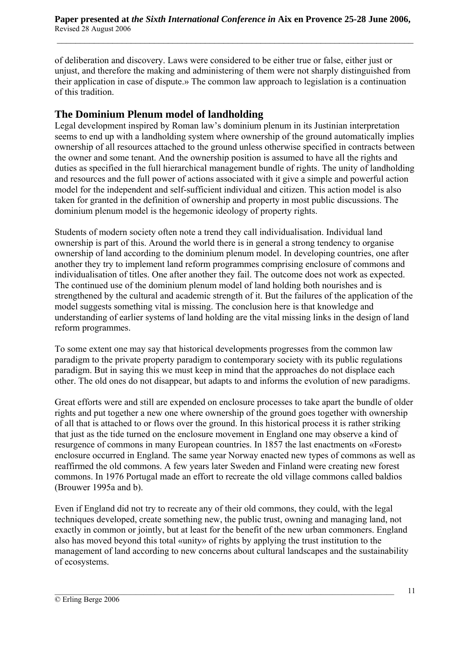of deliberation and discovery. Laws were considered to be either true or false, either just or unjust, and therefore the making and administering of them were not sharply distinguished from their application in case of dispute.» The common law approach to legislation is a continuation of this tradition.

## **The Dominium Plenum model of landholding**

Legal development inspired by Roman law's dominium plenum in its Justinian interpretation seems to end up with a landholding system where ownership of the ground automatically implies ownership of all resources attached to the ground unless otherwise specified in contracts between the owner and some tenant. And the ownership position is assumed to have all the rights and duties as specified in the full hierarchical management bundle of rights. The unity of landholding and resources and the full power of actions associated with it give a simple and powerful action model for the independent and self-sufficient individual and citizen. This action model is also taken for granted in the definition of ownership and property in most public discussions. The dominium plenum model is the hegemonic ideology of property rights.

Students of modern society often note a trend they call individualisation. Individual land ownership is part of this. Around the world there is in general a strong tendency to organise ownership of land according to the dominium plenum model. In developing countries, one after another they try to implement land reform programmes comprising enclosure of commons and individualisation of titles. One after another they fail. The outcome does not work as expected. The continued use of the dominium plenum model of land holding both nourishes and is strengthened by the cultural and academic strength of it. But the failures of the application of the model suggests something vital is missing. The conclusion here is that knowledge and understanding of earlier systems of land holding are the vital missing links in the design of land reform programmes.

To some extent one may say that historical developments progresses from the common law paradigm to the private property paradigm to contemporary society with its public regulations paradigm. But in saying this we must keep in mind that the approaches do not displace each other. The old ones do not disappear, but adapts to and informs the evolution of new paradigms.

Great efforts were and still are expended on enclosure processes to take apart the bundle of older rights and put together a new one where ownership of the ground goes together with ownership of all that is attached to or flows over the ground. In this historical process it is rather striking that just as the tide turned on the enclosure movement in England one may observe a kind of resurgence of commons in many European countries. In 1857 the last enactments on «Forest» enclosure occurred in England. The same year Norway enacted new types of commons as well as reaffirmed the old commons. A few years later Sweden and Finland were creating new forest commons. In 1976 Portugal made an effort to recreate the old village commons called baldios (Brouwer 1995a and b).

Even if England did not try to recreate any of their old commons, they could, with the legal techniques developed, create something new, the public trust, owning and managing land, not exactly in common or jointly, but at least for the benefit of the new urban commoners. England also has moved beyond this total «unity» of rights by applying the trust institution to the management of land according to new concerns about cultural landscapes and the sustainability of ecosystems.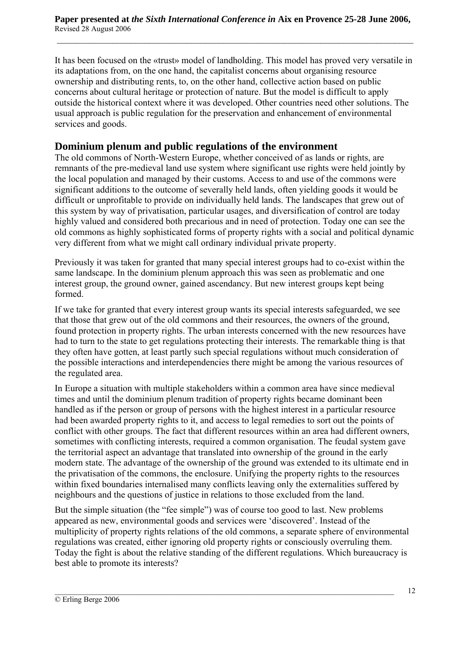It has been focused on the «trust» model of landholding. This model has proved very versatile in its adaptations from, on the one hand, the capitalist concerns about organising resource ownership and distributing rents, to, on the other hand, collective action based on public concerns about cultural heritage or protection of nature. But the model is difficult to apply outside the historical context where it was developed. Other countries need other solutions. The usual approach is public regulation for the preservation and enhancement of environmental services and goods.

#### **Dominium plenum and public regulations of the environment**

The old commons of North-Western Europe, whether conceived of as lands or rights, are remnants of the pre-medieval land use system where significant use rights were held jointly by the local population and managed by their customs. Access to and use of the commons were significant additions to the outcome of severally held lands, often yielding goods it would be difficult or unprofitable to provide on individually held lands. The landscapes that grew out of this system by way of privatisation, particular usages, and diversification of control are today highly valued and considered both precarious and in need of protection. Today one can see the old commons as highly sophisticated forms of property rights with a social and political dynamic very different from what we might call ordinary individual private property.

Previously it was taken for granted that many special interest groups had to co-exist within the same landscape. In the dominium plenum approach this was seen as problematic and one interest group, the ground owner, gained ascendancy. But new interest groups kept being formed.

If we take for granted that every interest group wants its special interests safeguarded, we see that those that grew out of the old commons and their resources, the owners of the ground, found protection in property rights. The urban interests concerned with the new resources have had to turn to the state to get regulations protecting their interests. The remarkable thing is that they often have gotten, at least partly such special regulations without much consideration of the possible interactions and interdependencies there might be among the various resources of the regulated area.

In Europe a situation with multiple stakeholders within a common area have since medieval times and until the dominium plenum tradition of property rights became dominant been handled as if the person or group of persons with the highest interest in a particular resource had been awarded property rights to it, and access to legal remedies to sort out the points of conflict with other groups. The fact that different resources within an area had different owners, sometimes with conflicting interests, required a common organisation. The feudal system gave the territorial aspect an advantage that translated into ownership of the ground in the early modern state. The advantage of the ownership of the ground was extended to its ultimate end in the privatisation of the commons, the enclosure. Unifying the property rights to the resources within fixed boundaries internalised many conflicts leaving only the externalities suffered by neighbours and the questions of justice in relations to those excluded from the land.

But the simple situation (the "fee simple") was of course too good to last. New problems appeared as new, environmental goods and services were 'discovered'. Instead of the multiplicity of property rights relations of the old commons, a separate sphere of environmental regulations was created, either ignoring old property rights or consciously overruling them. Today the fight is about the relative standing of the different regulations. Which bureaucracy is best able to promote its interests?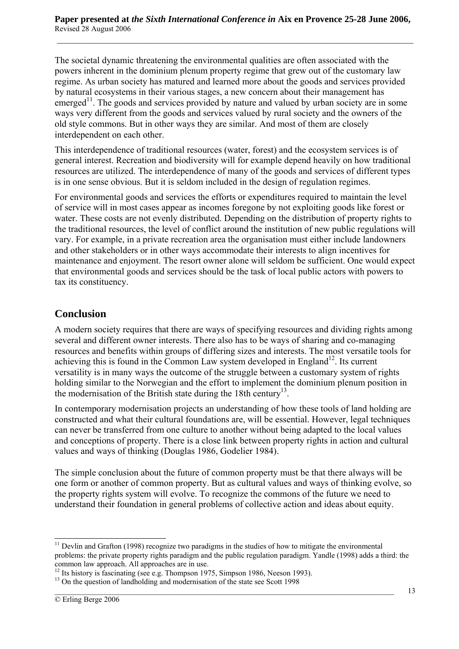The societal dynamic threatening the environmental qualities are often associated with the powers inherent in the dominium plenum property regime that grew out of the customary law regime. As urban society has matured and learned more about the goods and services provided by natural ecosystems in their various stages, a new concern about their management has emerged<sup>11</sup>. The goods and services provided by nature and valued by urban society are in some ways very different from the goods and services valued by rural society and the owners of the old style commons. But in other ways they are similar. And most of them are closely interdependent on each other.

This interdependence of traditional resources (water, forest) and the ecosystem services is of general interest. Recreation and biodiversity will for example depend heavily on how traditional resources are utilized. The interdependence of many of the goods and services of different types is in one sense obvious. But it is seldom included in the design of regulation regimes.

For environmental goods and services the efforts or expenditures required to maintain the level of service will in most cases appear as incomes foregone by not exploiting goods like forest or water. These costs are not evenly distributed. Depending on the distribution of property rights to the traditional resources, the level of conflict around the institution of new public regulations will vary. For example, in a private recreation area the organisation must either include landowners and other stakeholders or in other ways accommodate their interests to align incentives for maintenance and enjoyment. The resort owner alone will seldom be sufficient. One would expect that environmental goods and services should be the task of local public actors with powers to tax its constituency.

## **Conclusion**

A modern society requires that there are ways of specifying resources and dividing rights among several and different owner interests. There also has to be ways of sharing and co-managing resources and benefits within groups of differing sizes and interests. The most versatile tools for achieving this is found in the Common Law system developed in England<sup>12</sup>. Its current versatility is in many ways the outcome of the struggle between a customary system of rights holding similar to the Norwegian and the effort to implement the dominium plenum position in the modernisation of the British state during the 18th century<sup>13</sup>.

In contemporary modernisation projects an understanding of how these tools of land holding are constructed and what their cultural foundations are, will be essential. However, legal techniques can never be transferred from one culture to another without being adapted to the local values and conceptions of property. There is a close link between property rights in action and cultural values and ways of thinking (Douglas 1986, Godelier 1984).

The simple conclusion about the future of common property must be that there always will be one form or another of common property. But as cultural values and ways of thinking evolve, so the property rights system will evolve. To recognize the commons of the future we need to understand their foundation in general problems of collective action and ideas about equity.

 $11$  Devlin and Grafton (1998) recognize two paradigms in the studies of how to mitigate the environmental problems: the private property rights paradigm and the public regulation paradigm. Yandle (1998) adds a third: the

<sup>&</sup>lt;sup>12</sup> Its history is fascinating (see e.g. Thompson 1975, Simpson 1986, Neeson 1993).

 $\mathcal{L}_\mathcal{L} = \{ \mathcal{L}_\mathcal{L} = \{ \mathcal{L}_\mathcal{L} = \{ \mathcal{L}_\mathcal{L} = \{ \mathcal{L}_\mathcal{L} = \{ \mathcal{L}_\mathcal{L} = \{ \mathcal{L}_\mathcal{L} = \{ \mathcal{L}_\mathcal{L} = \{ \mathcal{L}_\mathcal{L} = \{ \mathcal{L}_\mathcal{L} = \{ \mathcal{L}_\mathcal{L} = \{ \mathcal{L}_\mathcal{L} = \{ \mathcal{L}_\mathcal{L} = \{ \mathcal{L}_\mathcal{L} = \{ \mathcal{L}_\mathcal{$ <sup>13</sup> On the question of landholding and modernisation of the state see Scott 1998